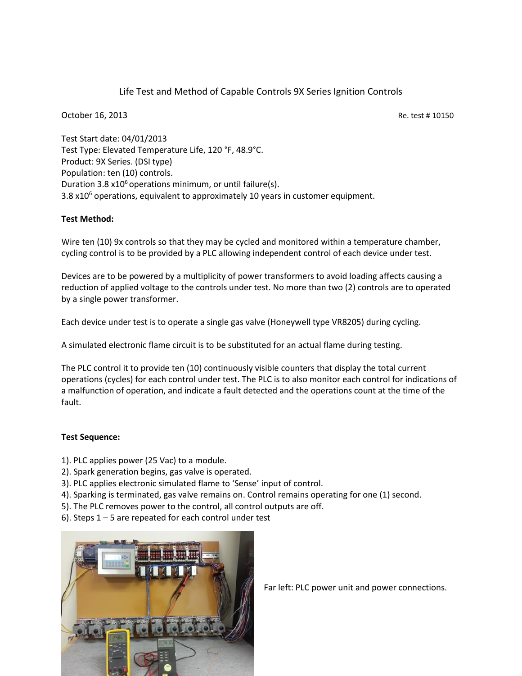Life Test and Method of Capable Controls 9X Series Ignition Controls

October 16, 2013 **Re. test # 10150** Re. test # 10150

Test Start date: 04/01/2013 Test Type: Elevated Temperature Life, 120 °F, 48.9°C. Product: 9X Series. (DSI type) Population: ten (10) controls. Duration 3.8  $x10<sup>6</sup>$  operations minimum, or until failure(s). 3.8  $x10<sup>6</sup>$  operations, equivalent to approximately 10 years in customer equipment.

## **Test Method:**

Wire ten (10) 9x controls so that they may be cycled and monitored within a temperature chamber, cycling control is to be provided by a PLC allowing independent control of each device under test.

Devices are to be powered by a multiplicity of power transformers to avoid loading affects causing a reduction of applied voltage to the controls under test. No more than two (2) controls are to operated by a single power transformer.

Each device under test is to operate a single gas valve (Honeywell type VR8205) during cycling.

A simulated electronic flame circuit is to be substituted for an actual flame during testing.

The PLC control it to provide ten (10) continuously visible counters that display the total current operations (cycles) for each control under test. The PLC is to also monitor each control for indications of a malfunction of operation, and indicate a fault detected and the operations count at the time of the fault.

## **Test Sequence:**

- 1). PLC applies power (25 Vac) to a module.
- 2). Spark generation begins, gas valve is operated.
- 3). PLC applies electronic simulated flame to 'Sense' input of control.
- 4). Sparking is terminated, gas valve remains on. Control remains operating for one (1) second.
- 5). The PLC removes power to the control, all control outputs are off.
- 6). Steps 1 5 are repeated for each control under test



Far left: PLC power unit and power connections.